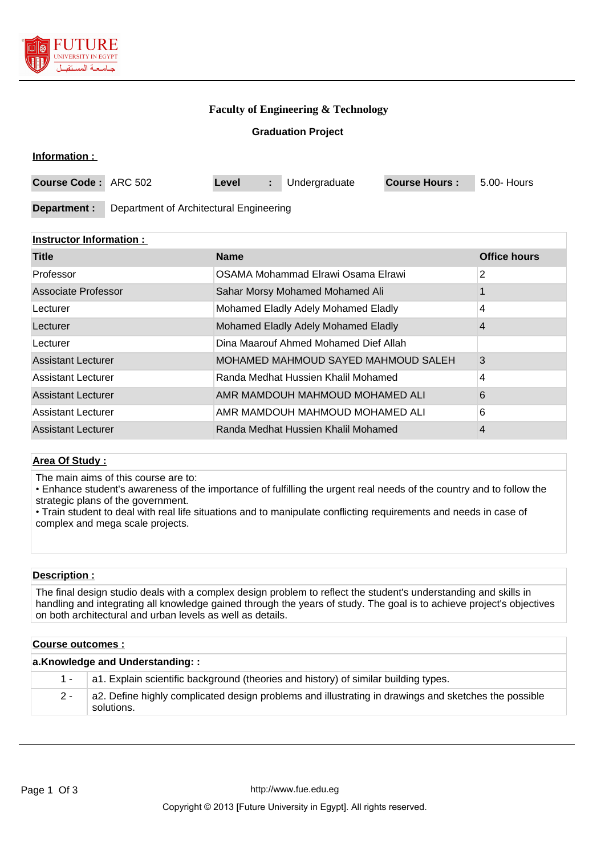

**Information :** 

# **Faculty of Engineering & Technology**

**Graduation Project**

| .                           |                                         |       |  |               |                      |             |
|-----------------------------|-----------------------------------------|-------|--|---------------|----------------------|-------------|
| <b>Course Code: ARC 502</b> |                                         | Level |  | Undergraduate | <b>Course Hours:</b> | 5.00- Hours |
|                             |                                         |       |  |               |                      |             |
| Department :                | Department of Architectural Engineering |       |  |               |                      |             |

## **Instructor Information :**

| <b>Title</b>              | <b>Name</b>                           | <b>Office hours</b> |
|---------------------------|---------------------------------------|---------------------|
| Professor                 | OSAMA Mohammad Elrawi Osama Elrawi    | 2                   |
| Associate Professor       | Sahar Morsy Mohamed Mohamed Ali       |                     |
| Lecturer                  | Mohamed Eladly Adely Mohamed Eladly   | 4                   |
| Lecturer                  | Mohamed Eladly Adely Mohamed Eladly   | 4                   |
| Lecturer                  | Dina Maarouf Ahmed Mohamed Dief Allah |                     |
| <b>Assistant Lecturer</b> | MOHAMED MAHMOUD SAYED MAHMOUD SALEH   | 3                   |
| Assistant Lecturer        | Randa Medhat Hussien Khalil Mohamed   | 4                   |
| <b>Assistant Lecturer</b> | AMR MAMDOUH MAHMOUD MOHAMED ALI       | 6                   |
| <b>Assistant Lecturer</b> | AMR MAMDOUH MAHMOUD MOHAMED ALI       | 6                   |
| <b>Assistant Lecturer</b> | Randa Medhat Hussien Khalil Mohamed   | 4                   |

#### **Area Of Study :**

The main aims of this course are to:

• Enhance student's awareness of the importance of fulfilling the urgent real needs of the country and to follow the strategic plans of the government.

• Train student to deal with real life situations and to manipulate conflicting requirements and needs in case of complex and mega scale projects.

# **Description :**

The final design studio deals with a complex design problem to reflect the student's understanding and skills in handling and integrating all knowledge gained through the years of study. The goal is to achieve project's objectives on both architectural and urban levels as well as details.

## **Course outcomes :**

| a.Knowledge and Understanding:: |                                                                                                                    |  |  |
|---------------------------------|--------------------------------------------------------------------------------------------------------------------|--|--|
| $1 -$                           | a1. Explain scientific background (theories and history) of similar building types.                                |  |  |
| $2 -$                           | a2. Define highly complicated design problems and illustrating in drawings and sketches the possible<br>solutions. |  |  |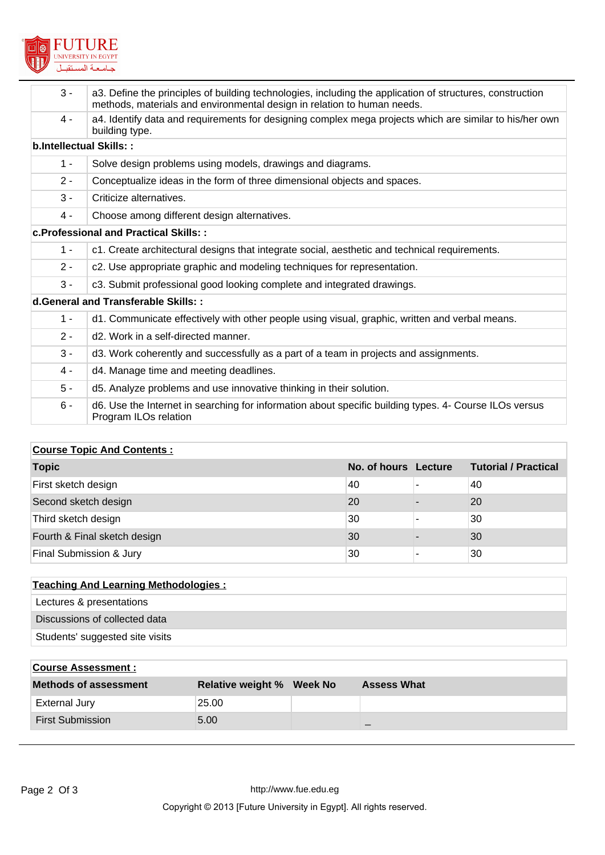

| $3 -$                                | a3. Define the principles of building technologies, including the application of structures, construction<br>methods, materials and environmental design in relation to human needs. |  |  |  |  |
|--------------------------------------|--------------------------------------------------------------------------------------------------------------------------------------------------------------------------------------|--|--|--|--|
| 4 -                                  | a4. Identify data and requirements for designing complex mega projects which are similar to his/her own<br>building type.                                                            |  |  |  |  |
| b.Intellectual Skills::              |                                                                                                                                                                                      |  |  |  |  |
| $1 -$                                | Solve design problems using models, drawings and diagrams.                                                                                                                           |  |  |  |  |
| $2 -$                                | Conceptualize ideas in the form of three dimensional objects and spaces.                                                                                                             |  |  |  |  |
| $3 -$                                | Criticize alternatives.                                                                                                                                                              |  |  |  |  |
| $4 -$                                | Choose among different design alternatives.                                                                                                                                          |  |  |  |  |
|                                      | <b>c.Professional and Practical Skills::</b>                                                                                                                                         |  |  |  |  |
| $1 -$                                | c1. Create architectural designs that integrate social, aesthetic and technical requirements.                                                                                        |  |  |  |  |
| $2 -$                                | c2. Use appropriate graphic and modeling techniques for representation.                                                                                                              |  |  |  |  |
| $3 -$                                | c3. Submit professional good looking complete and integrated drawings.                                                                                                               |  |  |  |  |
| d. General and Transferable Skills:: |                                                                                                                                                                                      |  |  |  |  |
| $1 -$                                | d1. Communicate effectively with other people using visual, graphic, written and verbal means.                                                                                       |  |  |  |  |
| $2 -$                                | d <sub>2</sub> . Work in a self-directed manner.                                                                                                                                     |  |  |  |  |
| $3 -$                                | d3. Work coherently and successfully as a part of a team in projects and assignments.                                                                                                |  |  |  |  |
| $4 -$                                | d4. Manage time and meeting deadlines.                                                                                                                                               |  |  |  |  |
| $5 -$                                | d5. Analyze problems and use innovative thinking in their solution.                                                                                                                  |  |  |  |  |
| $6 -$                                | d6. Use the Internet in searching for information about specific building types. 4- Course ILOs versus<br>Program ILOs relation                                                      |  |  |  |  |
|                                      |                                                                                                                                                                                      |  |  |  |  |

# **Course Topic And Contents :**

| <b>Topic</b>                 | No. of hours Lecture | <b>Tutorial / Practical</b> |
|------------------------------|----------------------|-----------------------------|
| First sketch design          | 40                   | 40                          |
| Second sketch design         | 20                   | 20                          |
| Third sketch design          | 30                   | 30                          |
| Fourth & Final sketch design | 30                   | 30                          |
| Final Submission & Jury      | 30                   | 30                          |

| <b>Teaching And Learning Methodologies:</b> |  |
|---------------------------------------------|--|
| Lectures & presentations                    |  |
| Discussions of collected data               |  |
| Students' suggested site visits             |  |
|                                             |  |

| <b>Course Assessment:</b>    |                                  |                    |
|------------------------------|----------------------------------|--------------------|
| <b>Methods of assessment</b> | <b>Relative weight % Week No</b> | <b>Assess What</b> |
| <b>External Jury</b>         | 25.00                            |                    |
| <b>First Submission</b>      | 5.00                             | $-$                |
|                              |                                  |                    |